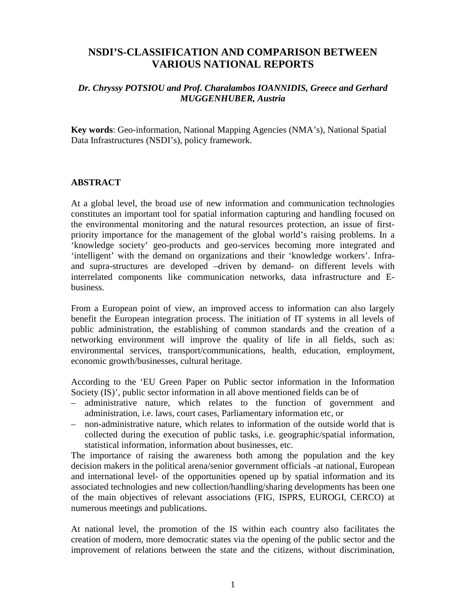## **NSDI'S-CLASSIFICATION AND COMPARISON BETWEEN VARIOUS NATIONAL REPORTS**

## *Dr. Chryssy POTSIOU and Prof. Charalambos IOANNIDIS, Greece and Gerhard MUGGENHUBER, Austria*

**Key words**: Geo-information, National Mapping Agencies (NMA's), National Spatial Data Infrastructures (NSDI's), policy framework.

## **ABSTRACT**

At a global level, the broad use of new information and communication technologies constitutes an important tool for spatial information capturing and handling focused on the environmental monitoring and the natural resources protection, an issue of firstpriority importance for the management of the global world's raising problems. In a 'knowledge society' geo-products and geo-services becoming more integrated and 'intelligent' with the demand on organizations and their 'knowledge workers'. Infraand supra-structures are developed –driven by demand- on different levels with interrelated components like communication networks, data infrastructure and Ebusiness.

From a European point of view, an improved access to information can also largely benefit the European integration process. The initiation of IT systems in all levels of public administration, the establishing of common standards and the creation of a networking environment will improve the quality of life in all fields, such as: environmental services, transport/communications, health, education, employment, economic growth/businesses, cultural heritage.

According to the 'EU Green Paper on Public sector information in the Information Society (IS)', public sector information in all above mentioned fields can be of

- administrative nature, which relates to the function of government and administration, i.e. laws, court cases, Parliamentary information etc, or
- non-administrative nature, which relates to information of the outside world that is collected during the execution of public tasks, i.e. geographic/spatial information, statistical information, information about businesses, etc.

The importance of raising the awareness both among the population and the key decision makers in the political arena/senior government officials -at national, European and international level- of the opportunities opened up by spatial information and its associated technologies and new collection/handling/sharing developments has been one of the main objectives of relevant associations (FIG, ISPRS, EUROGI, CERCO) at numerous meetings and publications.

At national level, the promotion of the IS within each country also facilitates the creation of modern, more democratic states via the opening of the public sector and the improvement of relations between the state and the citizens, without discrimination,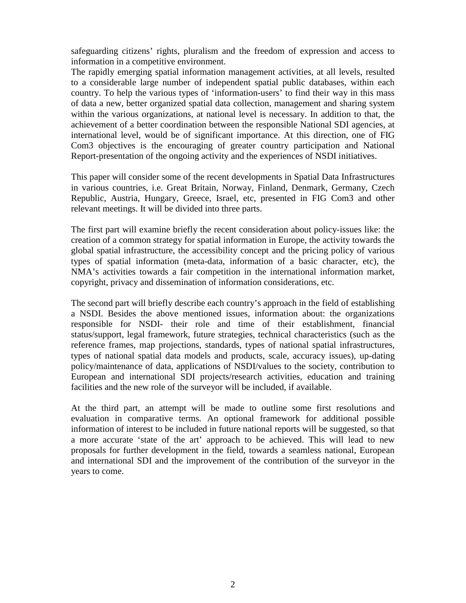safeguarding citizens' rights, pluralism and the freedom of expression and access to information in a competitive environment.

The rapidly emerging spatial information management activities, at all levels, resulted to a considerable large number of independent spatial public databases, within each country. To help the various types of 'information-users' to find their way in this mass of data a new, better organized spatial data collection, management and sharing system within the various organizations, at national level is necessary. In addition to that, the achievement of a better coordination between the responsible National SDI agencies, at international level, would be of significant importance. At this direction, one of FIG Com3 objectives is the encouraging of greater country participation and National Report-presentation of the ongoing activity and the experiences of NSDI initiatives.

This paper will consider some of the recent developments in Spatial Data Infrastructures in various countries, i.e. Great Britain, Norway, Finland, Denmark, Germany, Czech Republic, Austria, Hungary, Greece, Israel, etc, presented in FIG Com3 and other relevant meetings. It will be divided into three parts.

The first part will examine briefly the recent consideration about policy-issues like: the creation of a common strategy for spatial information in Europe, the activity towards the global spatial infrastructure, the accessibility concept and the pricing policy of various types of spatial information (meta-data, information of a basic character, etc), the NMA's activities towards a fair competition in the international information market, copyright, privacy and dissemination of information considerations, etc.

The second part will briefly describe each country's approach in the field of establishing a NSDI. Besides the above mentioned issues, information about: the organizations responsible for NSDI- their role and time of their establishment, financial status/support, legal framework, future strategies, technical characteristics (such as the reference frames, map projections, standards, types of national spatial infrastructures, types of national spatial data models and products, scale, accuracy issues), up-dating policy/maintenance of data, applications of NSDI/values to the society, contribution to European and international SDI projects/research activities, education and training facilities and the new role of the surveyor will be included, if available.

At the third part, an attempt will be made to outline some first resolutions and evaluation in comparative terms. An optional framework for additional possible information of interest to be included in future national reports will be suggested, so that a more accurate 'state of the art' approach to be achieved. This will lead to new proposals for further development in the field, towards a seamless national, European and international SDI and the improvement of the contribution of the surveyor in the years to come.